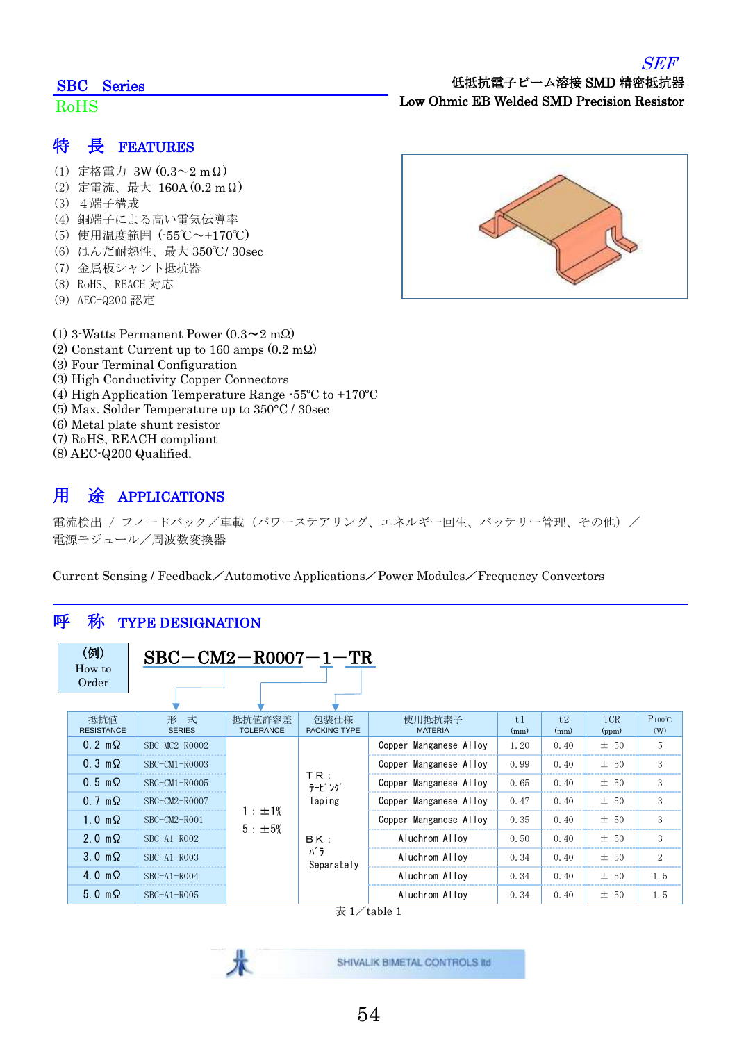#### SEF

#### SBC Series

#### RoHS

## 低抵抗電子ビーム溶接 SMD 精密抵抗器 Low Ohmic EB Welded SMD Precision Resistor

### 特 長 FEATURES

- (1) 定格電力 3W (0.3~2 mΩ)
- (2) 定電流、最大 160A (0.2 mΩ)
- (3) 4端子構成
- (4) 銅端子による高い電気伝導率
- (5) 使用温度範囲 (-55℃~+170℃)
- (6) はんだ耐熱性、最大 350℃/ 30sec
- (7) 金属板シャント抵抗器
- (8) RoHS、REACH 対応
- (9) AEC-Q200 認定
- (1) 3-Watts Permanent Power  $(0.3 \sim 2 \text{ m}\Omega)$
- (2) Constant Current up to 160 amps (0.2 mΩ)
- (3) Four Terminal Configuration
- (3) High Conductivity Copper Connectors
- (4) High Application Temperature Range -55ºC to +170ºC
- (5) Max. Solder Temperature up to 350°C / 30sec
- (6) Metal plate shunt resistor
- (7) RoHS, REACH compliant
- (8) AEC-Q200 Qualified.

## 用 途 APPLICATIONS

電流検出 / フィードバック/車載 (パワーステアリング、エネルギー回生、バッテリー管理、その他) / 電源モジュール/周波数変換器

Current Sensing / Feedback/Automotive Applications/Power Modules/Frequency Convertors

### 呼 称 TYPE DESIGNATION

| (例)<br>How to<br>Order   | $\text{SBC}-\text{CM2}-\text{R0007}-1-\text{TR}$ |                                          |                             |                          |                        |                |                     |                     |
|--------------------------|--------------------------------------------------|------------------------------------------|-----------------------------|--------------------------|------------------------|----------------|---------------------|---------------------|
| 抵抗值<br><b>RESISTANCE</b> | 形 式<br><b>SERIES</b>                             | 抵抗値許容差<br><b>TOLERANCE</b>               | 包装仕様<br><b>PACKING TYPE</b> | 使用抵抗素子<br><b>MATERIA</b> | t <sub>1</sub><br>(mm) | t.2<br>(mm)    | <b>TCR</b><br>(ppm) | $P_{100}$ °C<br>(W) |
| $0.2 \text{ m}\Omega$    | $SBC-MC2-R0002$                                  |                                          | Copper Manganese Alloy      | 1.20                     | 0.40                   | $\pm$ 50       | 5                   |                     |
| $0.3 \text{ m}\Omega$    | $SBC-CM1 - R0003$                                |                                          |                             | Copper Manganese Alloy   | 0.99                   | 0.40           | ± 50                | 3                   |
| $0.5 \text{ m}\Omega$    | $SBC-CM1 - R0005$                                | TR:<br>テーピング                             | Copper Manganese Alloy      | 0.65                     | 0.40                   | $\pm$<br>$-50$ | 3                   |                     |
| $0.7 \text{ m}\Omega$    | $SBC-CM2-R0007$                                  |                                          | Taping<br>1 : ±1%           | Copper Manganese Alloy   | 0.47                   | 0.40           | ± 50                | 3                   |
| $1.0 \text{ m}\Omega$    | $SBC-CM2-R001$                                   |                                          |                             | Copper Manganese Alloy   | 0.35                   | 0.40           | ± 50                | 3                   |
| $2.0 \text{ m}\Omega$    | $SBC-A1-R002$                                    | $5 : \pm 5\%$<br>BK:<br>パラ<br>Separately |                             | Aluchrom Alloy           | 0.50                   | 0.40           | ± 50                | 3                   |
| $3.0 \text{ m}\Omega$    | $SBC-A1-R003$                                    |                                          |                             | Aluchrom Alloy           | 0.34                   | 0.40           | ± 50                | $\overline{2}$      |
| $4.0 \text{ m}\Omega$    | $SBC-A1-R004$                                    |                                          |                             | Aluchrom Alloy           | 0.34                   | 0.40           | $\pm$<br>50         | 1.5                 |
| $5.0 \text{ m}\Omega$    | $SBC-A1-R005$                                    |                                          | Aluchrom Alloy              | 0.34                     | 0.40                   | ± 50           | 1.5                 |                     |

 $\frac{1}{2}$  1/table 1

SHIVALIK BIMETAL CONTROLS IId

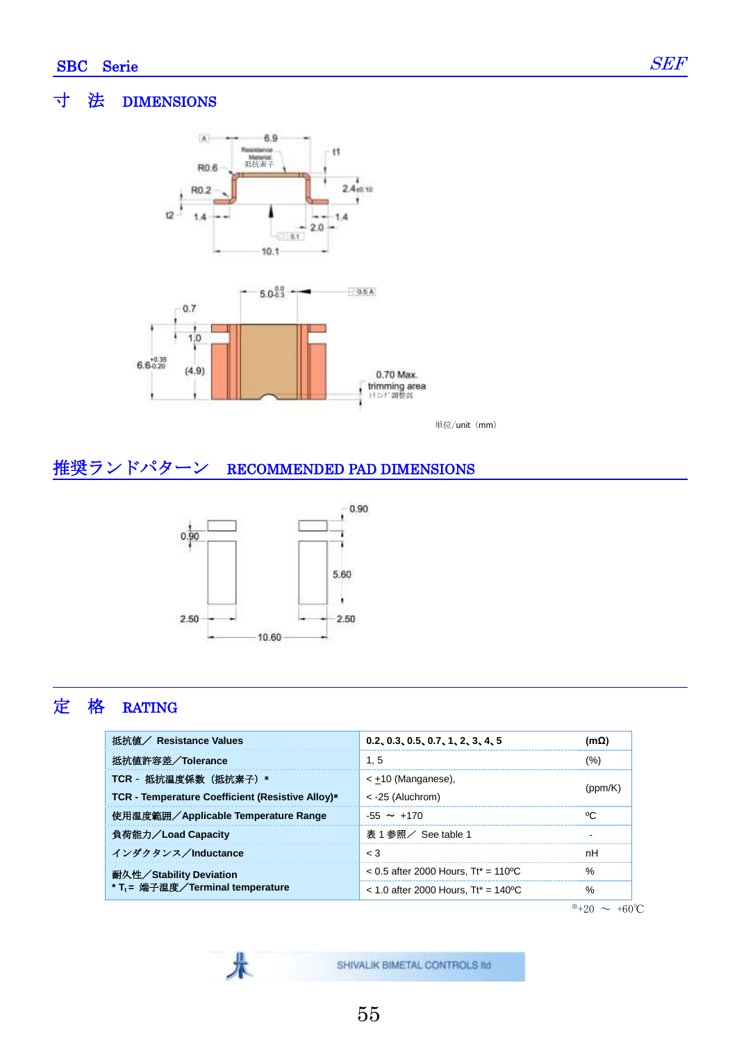Ī



単位/unit (mm)

### 推奨ランドパターン RECOMMENDED PAD DIMENSIONS



彔

# 定 格 RATING

| 抵抗値 / Resistance Values                          | 0.2, 0.3, 0.5, 0.7, 1, 2, 3, 4, 5      | $(m\Omega)$ |  |
|--------------------------------------------------|----------------------------------------|-------------|--|
| 抵抗値許容差/Tolerance                                 | 1.5                                    | (%)         |  |
| TCR - 抵抗温度係数 (抵抗素子) *                            | < $\pm$ 10 (Manganese),                |             |  |
| TCR - Temperature Coefficient (Resistive Alloy)* | $<$ -25 (Aluchrom)                     | nom/r       |  |
| 使用温度範囲/Applicable Temperature Range              | $-55 \sim +170$                        | °C          |  |
| 負荷能力/Load Capacity                               | - 表 1 参照/ See table 1                  |             |  |
| インダクタンス/Inductance                               | $\leq 3$                               | nH          |  |
| 耐久性/Stability Deviation                          | $< 0.5$ after 2000 Hours. Tt* = 110 °C | %           |  |
| * T <sub>t</sub> = 端子温度/Terminal temperature     | $<$ 1.0 after 2000 Hours. Tt* = 140 °C | %           |  |

 $*+20$  ∼ +60°C

SHIVALIK BIMETAL CONTROLS IId